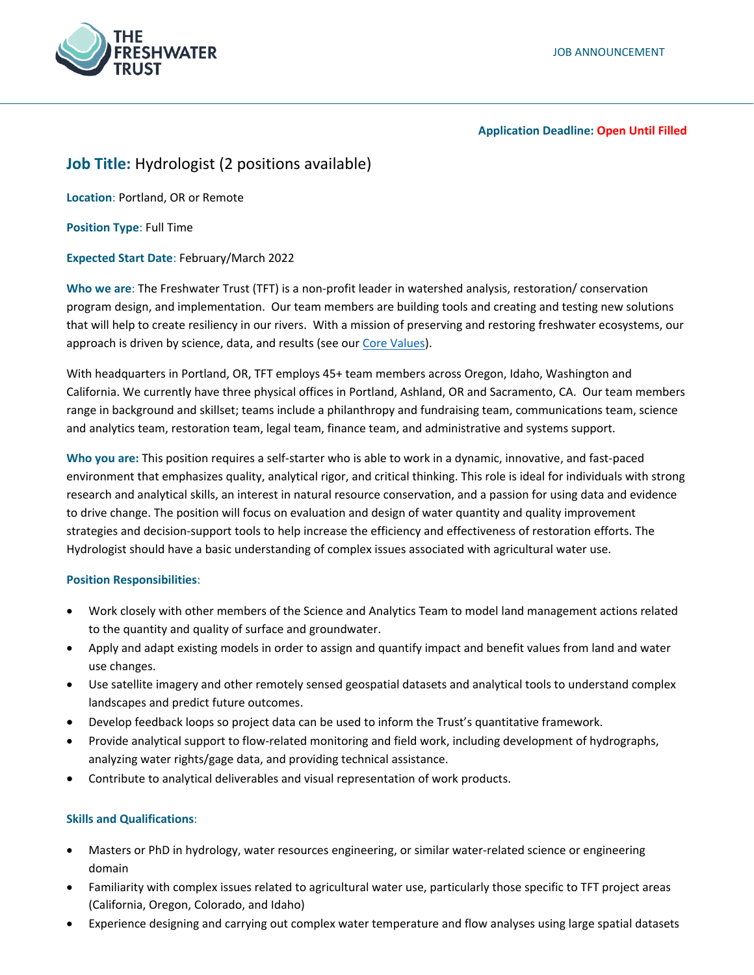

#### **Application Deadline: Open Until Filled**

# **Job Title:** Hydrologist (2 positions available)

**Location**: Portland, OR or Remote

**Position Type**: Full Time

**Expected Start Date**: February/March 2022

**Who we are**: The Freshwater Trust (TFT) is a non-profit leader in watershed analysis, restoration/ conservation program design, and implementation. Our team members are building tools and creating and testing new solutions that will help to create resiliency in our rivers. With a mission of preserving and restoring freshwater ecosystems, our approach is driven by science, data, and results (see ou[r Core Values\)](https://www.thefreshwatertrust.org/about-us/core-values/).

With headquarters in Portland, OR, TFT employs 45+ team members across Oregon, Idaho, Washington and California. We currently have three physical offices in Portland, Ashland, OR and Sacramento, CA. Our team members range in background and skillset; teams include a philanthropy and fundraising team, communications team, science and analytics team, restoration team, legal team, finance team, and administrative and systems support.

**Who you are:** This position requires a self-starter who is able to work in a dynamic, innovative, and fast-paced environment that emphasizes quality, analytical rigor, and critical thinking. This role is ideal for individuals with strong research and analytical skills, an interest in natural resource conservation, and a passion for using data and evidence to drive change. The position will focus on evaluation and design of water quantity and quality improvement strategies and decision-support tools to help increase the efficiency and effectiveness of restoration efforts. The Hydrologist should have a basic understanding of complex issues associated with agricultural water use.

## **Position Responsibilities**:

- Work closely with other members of the Science and Analytics Team to model land management actions related to the quantity and quality of surface and groundwater.
- Apply and adapt existing models in order to assign and quantify impact and benefit values from land and water use changes.
- Use satellite imagery and other remotely sensed geospatial datasets and analytical tools to understand complex landscapes and predict future outcomes.
- Develop feedback loops so project data can be used to inform the Trust's quantitative framework.
- Provide analytical support to flow-related monitoring and field work, including development of hydrographs, analyzing water rights/gage data, and providing technical assistance.
- Contribute to analytical deliverables and visual representation of work products.

## **Skills and Qualifications**:

- Masters or PhD in hydrology, water resources engineering, or similar water-related science or engineering domain
- Familiarity with complex issues related to agricultural water use, particularly those specific to TFT project areas (California, Oregon, Colorado, and Idaho)
- Experience designing and carrying out complex water temperature and flow analyses using large spatial datasets